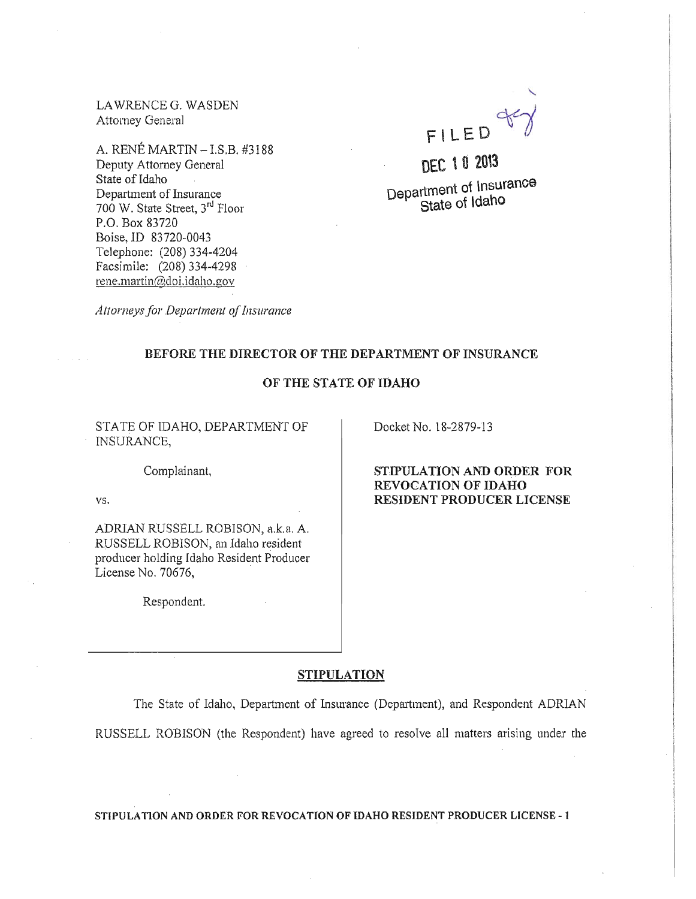LA WRENCE G. WASDEN Attorney General

A. RENE MARTIN - LS.B. #3188 Deputy Attorney General State of Idaho Department of Insurance 700 W. State Street, 3rd Floor P.O. Box 83720 **Boise,ID** 83720-0043 Telephone: (208) 334-4204 Facsimile: (208) 334-4298 rene.martin@doi.idaho.gov



**DEC \ 0 2013 Department of insurance** . **State of idaho** 

*Attorneysfor Department of Insurance* 

# BEFORE THE DIRECTOR OF THE DEPARTMENT OF INSURANCE

# **OF THE STATE OF IDAHO**

STATE OF IDAHO, DEPARTMENT OF INSURANCE,

Docket No. 18-2879-13

Complainant.

vs.

ADRIAN RUSSELL ROBISON, a.k.a. A. RUSSELL ROBISON, an Idaho resident producer holding Idaho Resident Producer License No. 70676,

Respondent.

**STIPULATION AND ORDER FOR REVOCATION OF IDAHO RESIDENT PRODUCER LICENSE** 

### **STIPULATION**

The State of Idaho, Department of Insurance (Department), and Respondent ADRIAN RUSSELL ROBISON (the Respondent) have agreed to resolve all matters arising under tbe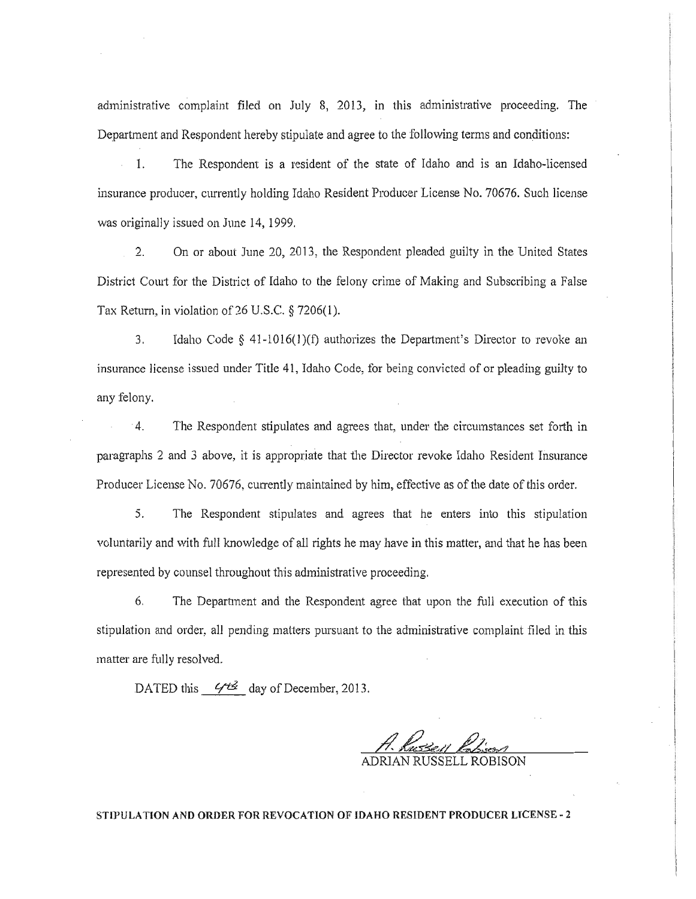administrative complaint filed on July 8, 2013, in this administrative proceeding. The Department and Respondent hereby stipulate and agree to the following terms and conditions:

1. The Respondent is a resident of the state of Idaho and is an Idaho-licensed insurance producer, currently holding Idaho Resident Producer License No. 70676. Such license was originally issued on June 14, 1999.

2. On or about June 20, 2013, the Respondent pleaded guilty in the United States District Court for the District of Idaho to the felony crime of Making and Subscribing a False Tax Return, in violation of 26 U.S.C. § 7206(1).

3. Idaho Code  $\S$  41-1016(1)(f) authorizes the Department's Director to revoke an insurance license issued under Title 41, Idaho Code, for being convicted of or pleading guilty to any felony.

4. The Respondent stipulates and agrees that, under the circumstances set forth in paragraphs 2 and 3 above, it is appropriate that the Director revoke Idaho Resident Insurance Producer License No. 70676, currently maintained by him, effective as of the date of this order.

5. The Respondent stipulates and agrees that he enters into this stipulation voluntarily and with full knowledge of all rights he may have in this matter, and that he has been represented by counsel throughout this administrative proceeding.

6. The Department and the Respondent agree that upon the full execution of this stipulation and order, all pending matters pursuant to the administrative complaint filed in this matter are fully resolved.

DATED this  $\frac{644}{4}$  day of December, 2013.

 $\frac{1}{2}$ 

. 1

I

 $\mathbf{I}$ 

ADRIAN RUSSELL ROBISON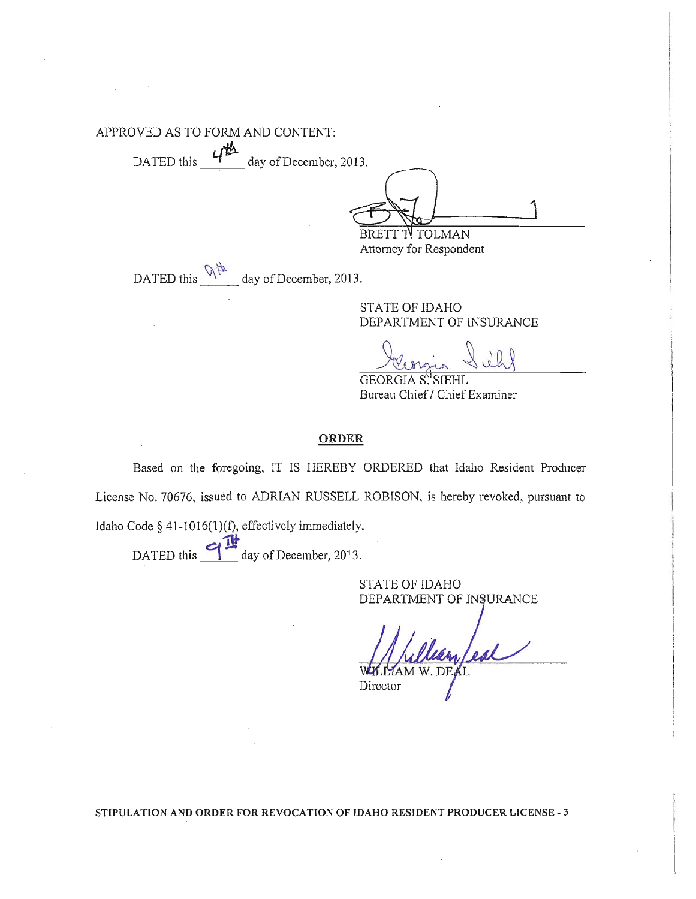APPROVED AS TO FORM AND CONTENT:

DATED this  $\frac{4^{\frac{14}{12}}}{\frac{1}{201}}$  day of December, 2013.

BRETT TV TOLMAN

Attorney for Respondent

DATED this  $\frac{\sqrt{\pi}}{2}$  day of December, 2013.

STATE OF IDAHO DEPARTMENT OF INSURANCE

GEORGIA S<sup>J</sup>SIEHI Bureau Chief / Chief Examiner

## **ORDER**

Based on the foregoing, IT IS HEREBY ORDERED that Idaho Resident Producer License No. 70676, issued to ADRIAN RUSSELL ROBISON, is hereby revoked, pursuant to Idaho Code § 41-1016(1)(f), effectively immediately.

DATED this  $\frac{11}{2}$  day of December, 2013.

STATE OF IDAHO DEPARTMENT OF INSURANCE

Director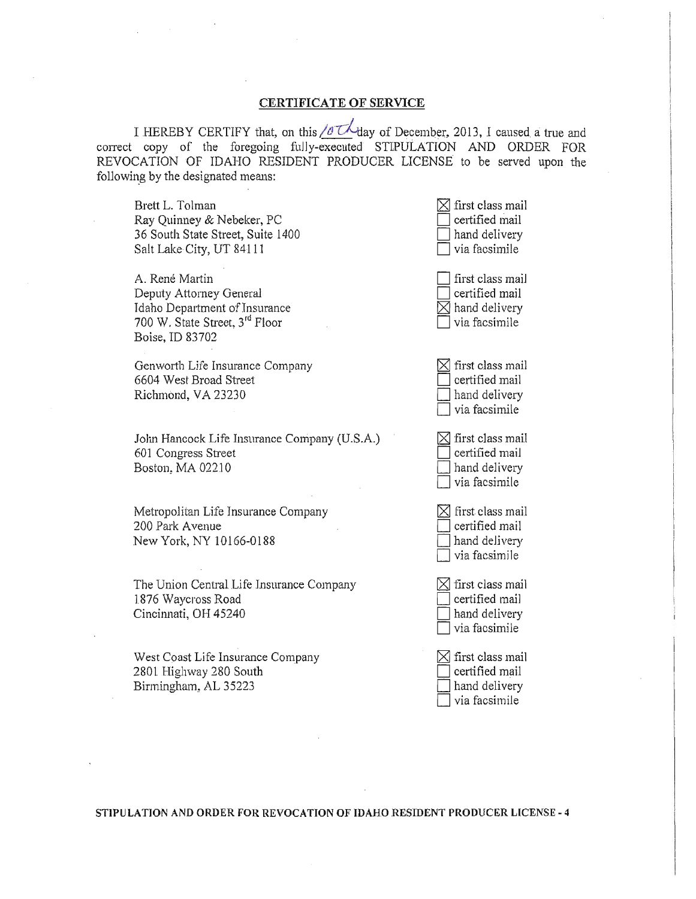#### CERTIFICATE OF SERVICE

I HEREBY CERTIFY that, on this  $\sqrt{\sigma} \mathcal{L}$  day of December, 2013, I caused a true and correct copy of the foregoing fully-executed STIPULATION AND ORDER FOR REVOCATION OF IDAHO RESIDENT PRODUCER LICENSE to be served upon the following by the designated means:

Brett L. Tolman Ray Quinney & Nebeker, PC 36 South State Street, Suite 1400 Salt Lake City, UT 84111

A. René Martin Deputy Attorney General Idaho Department of Insurance 700 W. State Street, 3rd Floor Boise, ID 83702

Genworth Life Insurance Company 6604 West Broad Street Richmond, VA 23230

John Hancock Lite Insurance Company (U.S.A.) 601 Congress Street Boston, MA 02210

Metropolitan Life Insurance Company 200 Park Avenue New York, NY 10166-0188

The Union Central Life Insurance Company 1876 Waycross Road Cincinnati, OH 45240

West Coast Life Insurance Company 2801 Highway 280 South Birmingham, AL 35223

 $\leq$  first class mail<br>certified mail certified mail<br>hand delivery via facsimile first class mail certified mail  $\sqrt{\frac{1}{2}}$  hand delivery

 $\leq$  first class mail<br>certified mail certified mail<br>hand delivery

via facsimile

 $\sum$  first class mail<br>certified mail certified mail<br>hand delivery  $\exists$  via facsimile

 $\boxtimes$  first class mail certified mail hand delivery  $\exists$  via facsimile

 $\boxtimes$  first class mail certified mail hand delivery  $\exists$  via facsimile

 $\boxtimes$  first class mail certified mail hand delivery via facsimile